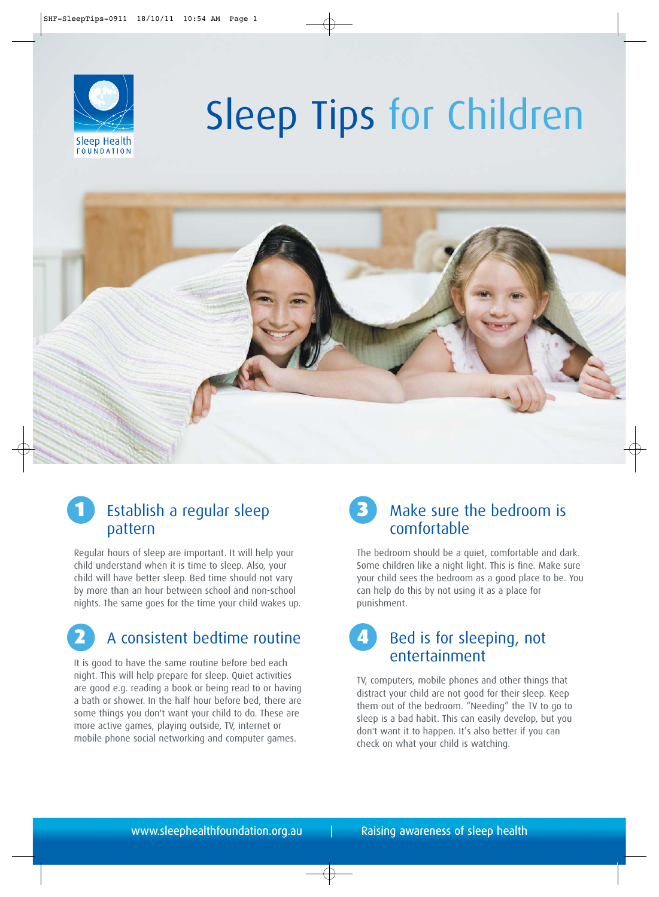

# Sleep Tips for Children



## 1 Establish a regular sleep pattern

Regular hours of sleep are important. It will help your child understand when it is time to sleep. Also, your child will have better sleep. Bed time should not vary by more than an hour between school and non-school nights. The same goes for the time your child wakes up.

# 2 A consistent bedtime routine

It is good to have the same routine before bed each night. This will help prepare for sleep. Quiet activities are good e.g. reading a book or being read to or having a bath or shower. In the half hour before bed, there are some things you don't want your child to do. These are more active games, playing outside, TV, internet or mobile phone social networking and computer games.

## Make sure the bedroom is comfortable

The bedroom should be a quiet, comfortable and dark. Some children like a night light. This is fine. Make sure your child sees the bedroom as a good place to be. You can help do this by not using it as a place for punishment.

## 4 Bed is for sleeping, not entertainment

TV, computers, mobile phones and other things that distract your child are not good for their sleep. Keep them out of the bedroom. "Needing" the TV to go to sleep is a bad habit. This can easily develop, but you don't want it to happen. It's also better if you can check on what your child is watching.